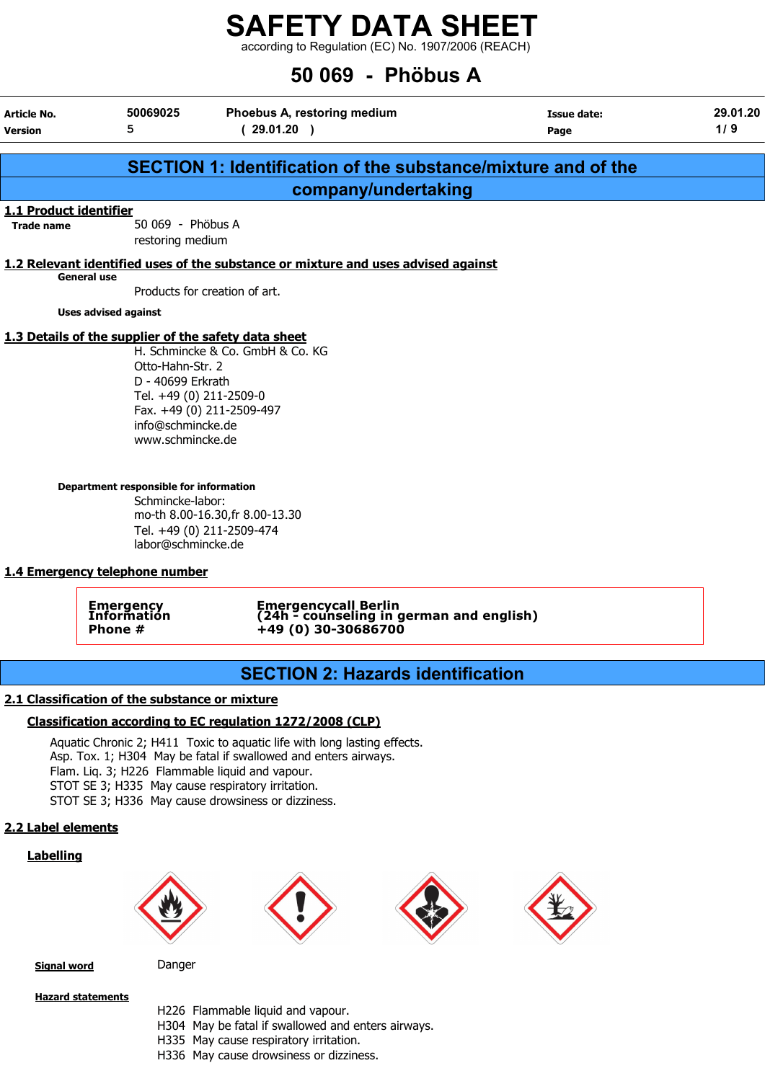$\frac{2}{\pi}$  -  $\frac{2}{\pi}$  -  $\frac{2}{\pi}$  -  $\frac{2}{\pi}$  -  $\frac{2}{\pi}$  -  $\frac{2}{\pi}$  -  $\frac{2}{\pi}$  -  $\frac{2}{\pi}$  -  $\frac{2}{\pi}$  -  $\frac{2}{\pi}$  -  $\frac{2}{\pi}$  -  $\frac{2}{\pi}$  -  $\frac{2}{\pi}$  -  $\frac{2}{\pi}$  -  $\frac{2}{\pi}$  -  $\frac{2}{\pi}$  -  $\frac{2}{\pi}$  -

## 50 069 - Phöbus A

|                               |                                                                                                                                                                         | UU VUJ - IIIVUUJ M                                                                                                                                                                                                                                                                                        |                     |                 |
|-------------------------------|-------------------------------------------------------------------------------------------------------------------------------------------------------------------------|-----------------------------------------------------------------------------------------------------------------------------------------------------------------------------------------------------------------------------------------------------------------------------------------------------------|---------------------|-----------------|
| Article No.<br><b>Version</b> | 50069025<br>5                                                                                                                                                           | Phoebus A, restoring medium<br>(29.01.20)                                                                                                                                                                                                                                                                 | Issue date:<br>Page | 29.01.20<br>1/9 |
|                               |                                                                                                                                                                         | <b>SECTION 1: Identification of the substance/mixture and of the</b>                                                                                                                                                                                                                                      |                     |                 |
|                               |                                                                                                                                                                         | company/undertaking                                                                                                                                                                                                                                                                                       |                     |                 |
| 1.1 Product identifier        |                                                                                                                                                                         |                                                                                                                                                                                                                                                                                                           |                     |                 |
| <b>Trade name</b>             | 50 069 - Phöbus A<br>restoring medium                                                                                                                                   |                                                                                                                                                                                                                                                                                                           |                     |                 |
| <b>General use</b>            |                                                                                                                                                                         | 1.2 Relevant identified uses of the substance or mixture and uses advised against                                                                                                                                                                                                                         |                     |                 |
|                               |                                                                                                                                                                         | Products for creation of art.                                                                                                                                                                                                                                                                             |                     |                 |
|                               | <b>Uses advised against</b>                                                                                                                                             |                                                                                                                                                                                                                                                                                                           |                     |                 |
|                               | 1.3 Details of the supplier of the safety data sheet                                                                                                                    |                                                                                                                                                                                                                                                                                                           |                     |                 |
|                               | Otto-Hahn-Str. 2<br>D - 40699 Erkrath<br>Tel. +49 (0) 211-2509-0<br>info@schmincke.de<br>www.schmincke.de<br>Department responsible for information<br>Schmincke-labor: | H. Schmincke & Co. GmbH & Co. KG<br>Fax. +49 (0) 211-2509-497                                                                                                                                                                                                                                             |                     |                 |
|                               | labor@schmincke.de                                                                                                                                                      | mo-th 8.00-16.30, fr 8.00-13.30<br>Tel. +49 (0) 211-2509-474                                                                                                                                                                                                                                              |                     |                 |
|                               | 1.4 Emergency telephone number                                                                                                                                          |                                                                                                                                                                                                                                                                                                           |                     |                 |
|                               | <b>Emergency</b><br>Information<br>Phone #                                                                                                                              | Emergencycall Berlin<br>(24h - counseling in german and english)<br>+49 (0) 30-30686700                                                                                                                                                                                                                   |                     |                 |
|                               |                                                                                                                                                                         | <b>SECTION 2: Hazards identification</b>                                                                                                                                                                                                                                                                  |                     |                 |
|                               | 2.1 Classification of the substance or mixture                                                                                                                          |                                                                                                                                                                                                                                                                                                           |                     |                 |
|                               |                                                                                                                                                                         | Classification according to EC regulation 1272/2008 (CLP)                                                                                                                                                                                                                                                 |                     |                 |
|                               |                                                                                                                                                                         | Aquatic Chronic 2; H411 Toxic to aquatic life with long lasting effects.<br>Asp. Tox. 1; H304 May be fatal if swallowed and enters airways.<br>Flam. Liq. 3; H226 Flammable liquid and vapour.<br>STOT SE 3; H335 May cause respiratory irritation.<br>STOT SE 3; H336 May cause drowsiness or dizziness. |                     |                 |
| 2.2 Label elements            |                                                                                                                                                                         |                                                                                                                                                                                                                                                                                                           |                     |                 |
| <b>Labelling</b>              |                                                                                                                                                                         |                                                                                                                                                                                                                                                                                                           |                     |                 |









Signal word Danger

Hazard statements

- H226 Flammable liquid and vapour.
- H304 May be fatal if swallowed and enters airways.
- H335 May cause respiratory irritation.
- H336 May cause drowsiness or dizziness.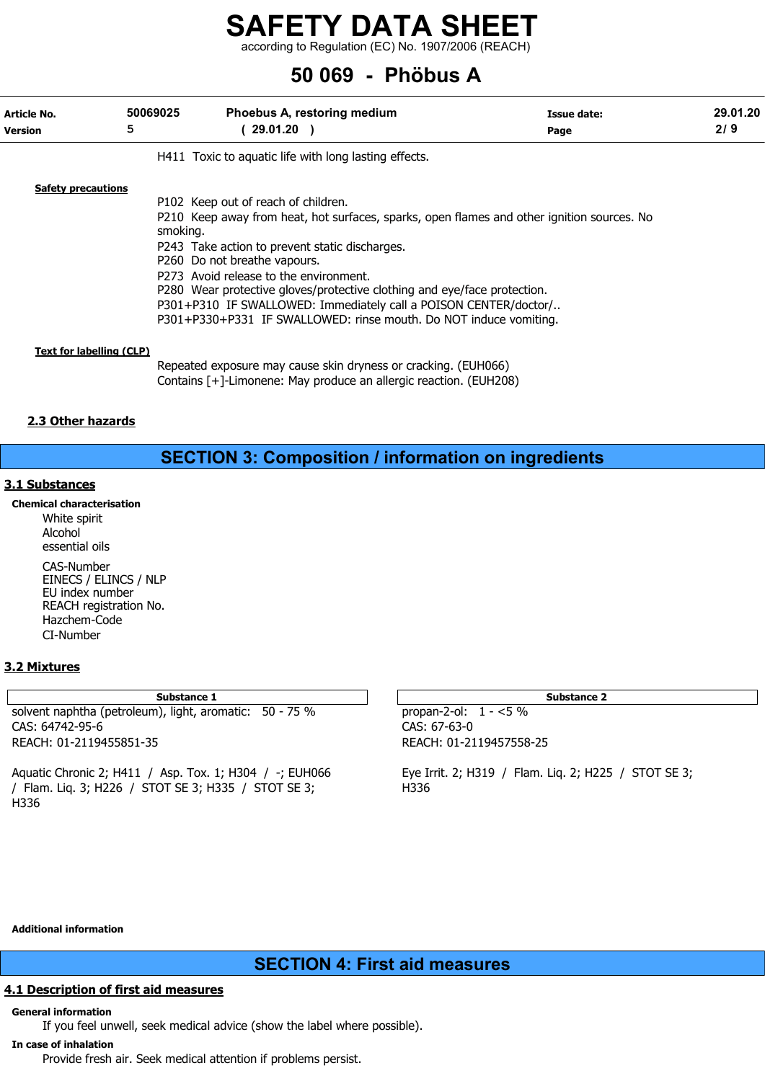according to Regulation (EC) No. 1907/2006 (REACH)

## 50 069 - Phöbus A

| Article No.<br><b>Version</b>   | 50069025<br>5 | Phoebus A, restoring medium<br>( 29.01.20 )                                                | Issue date:<br>Page | 29.01.20<br>2/9 |
|---------------------------------|---------------|--------------------------------------------------------------------------------------------|---------------------|-----------------|
|                                 |               | H411 Toxic to aquatic life with long lasting effects.                                      |                     |                 |
| <b>Safety precautions</b>       |               |                                                                                            |                     |                 |
|                                 |               | P102 Keep out of reach of children.                                                        |                     |                 |
|                                 | smoking.      | P210 Keep away from heat, hot surfaces, sparks, open flames and other ignition sources. No |                     |                 |
|                                 |               | P243 Take action to prevent static discharges.                                             |                     |                 |
|                                 |               | P260 Do not breathe vapours.                                                               |                     |                 |
|                                 |               | P273 Avoid release to the environment.                                                     |                     |                 |
|                                 |               | P280 Wear protective gloves/protective clothing and eye/face protection.                   |                     |                 |
|                                 |               |                                                                                            |                     |                 |
|                                 |               | P301+P310 IF SWALLOWED: Immediately call a POISON CENTER/doctor/                           |                     |                 |
|                                 |               | P301+P330+P331 IF SWALLOWED: rinse mouth. Do NOT induce vomiting.                          |                     |                 |
| <b>Text for labelling (CLP)</b> |               |                                                                                            |                     |                 |
|                                 |               | Repeated exposure may cause skin dryness or cracking. (EUH066)                             |                     |                 |

Contains [+]-Limonene: May produce an allergic reaction. (EUH208)

#### 2.3 Other hazards

### SECTION 3: Composition / information on ingredients

#### 3.1 Substances

Chemical characterisation White spirit Alcohol essential oils CAS-Number

EINECS / ELINCS / NLP EU index number REACH registration No. Hazchem-Code CI-Number

#### 3.2 Mixtures

solvent naphtha (petroleum), light, aromatic: 50 - 75 % CAS: 64742-95-6 REACH: 01-2119455851-35 REACH: 01-2119457558-25

Aquatic Chronic 2; H411 / Asp. Tox. 1; H304 / -; EUH066 Eye Irrit. 2; H319 / Flam. Liq. 2; H225 / STOT SE 3; / Flam. Liq. 3; H226 / STOT SE 3; H335 / STOT SE 3; H336 H336

| Substance 1                    | Substance 2             |
|--------------------------------|-------------------------|
| n), light, aromatic: 50 - 75 % | propan-2-ol: $1 - 5\%$  |
|                                | CAS: 67-63-0            |
|                                | REACH: 01-2119457558-25 |

Additional information

### SECTION 4: First aid measures

#### 4.1 Description of first aid measures

General information

If you feel unwell, seek medical advice (show the label where possible).

#### In case of inhalation

Provide fresh air. Seek medical attention if problems persist.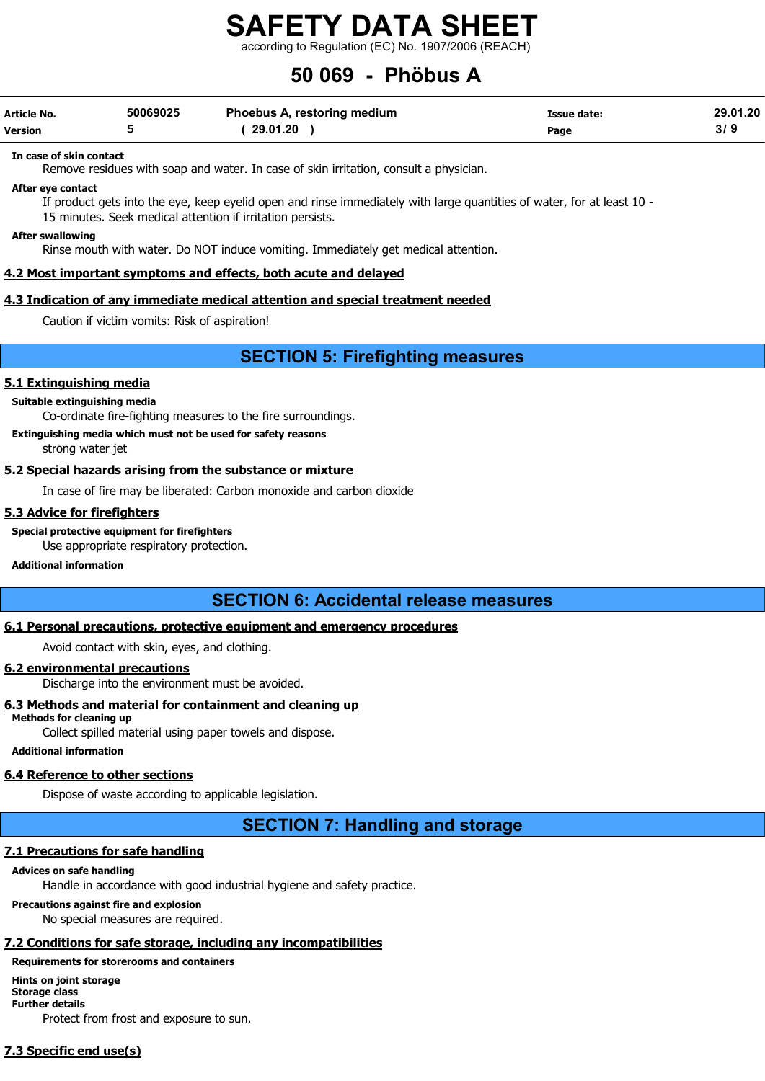according to Regulation (EC) No. 1907/2006 (REACH)

## 50 069 - Phöbus A

| Article No. | 50069025 | Phoebus A, restoring medium | <b>Issue date:</b> | 29.01.20 |
|-------------|----------|-----------------------------|--------------------|----------|
| Version     |          | 29.01.20                    | Page               |          |

#### In case of skin contact

Remove residues with soap and water. In case of skin irritation, consult a physician.

#### After eye contact

If product gets into the eye, keep eyelid open and rinse immediately with large quantities of water, for at least 10 - 15 minutes. Seek medical attention if irritation persists.

#### After swallowing

Rinse mouth with water. Do NOT induce vomiting. Immediately get medical attention.

#### 4.2 Most important symptoms and effects, both acute and delayed

#### 4.3 Indication of any immediate medical attention and special treatment needed

Caution if victim vomits: Risk of aspiration!

SECTION 5: Firefighting measures

#### 5.1 Extinguishing media

#### Suitable extinguishing media

Co-ordinate fire-fighting measures to the fire surroundings.

#### Extinguishing media which must not be used for safety reasons

strong water jet

#### 5.2 Special hazards arising from the substance or mixture

In case of fire may be liberated: Carbon monoxide and carbon dioxide

#### 5.3 Advice for firefighters

Special protective equipment for firefighters

Use appropriate respiratory protection.

#### Additional information

#### SECTION 6: Accidental release measures

#### 6.1 Personal precautions, protective equipment and emergency procedures

Avoid contact with skin, eyes, and clothing.

#### 6.2 environmental precautions

Discharge into the environment must be avoided.

#### 6.3 Methods and material for containment and cleaning up

Methods for cleaning up Collect spilled material using paper towels and dispose.

#### Additional information

#### 6.4 Reference to other sections

Dispose of waste according to applicable legislation.

#### SECTION 7: Handling and storage

#### 7.1 Precautions for safe handling

#### Advices on safe handling

Handle in accordance with good industrial hygiene and safety practice.

#### Precautions against fire and explosion

No special measures are required.

#### 7.2 Conditions for safe storage, including any incompatibilities

Requirements for storerooms and containers

Hints on joint storage Storage class Further details Protect from frost and exposure to sun.

#### 7.3 Specific end use(s)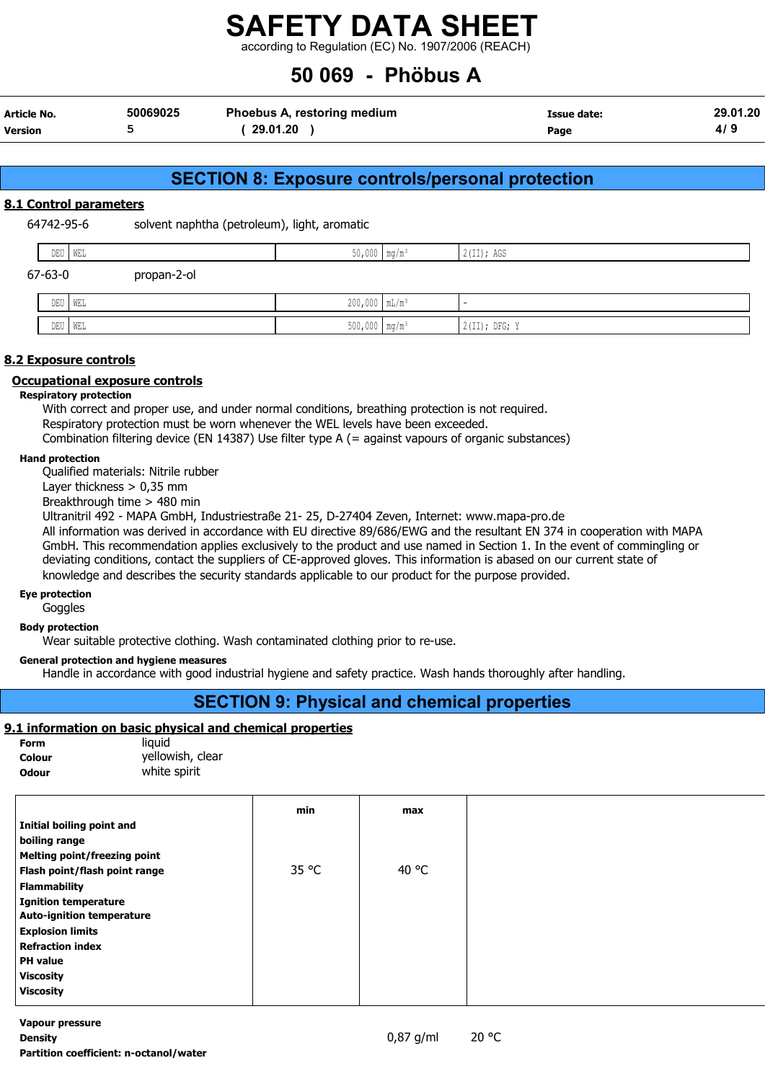according to Regulation (EC) No. 1907/2006 (REACH)

## 50 069 - Phöbus A

| Article No.    | 50069025 | Phoebus A, restoring medium | Issue date: | 29.01.20 |
|----------------|----------|-----------------------------|-------------|----------|
| <b>Version</b> |          | 29.01.20                    | Page        | 4/9      |

#### SECTION 8: Exposure controls/personal protection

#### 8.1 Control parameters

64742-95-6 solvent naphtha (petroleum), light, aromatic

| $- - -$<br>ັ້ | I MF<br>.                                       | . | 200<br>.<br>AGD<br>----- |
|---------------|-------------------------------------------------|---|--------------------------|
|               | the contract of the contract of the contract of |   |                          |

| $67 - 63 - 0$ | propan-2-ol |                             |                 |
|---------------|-------------|-----------------------------|-----------------|
| DEU           | WEL         | $200,000$ $mL/m^3$          |                 |
| DEU           | WEL         | $500,000$ mg/m <sup>3</sup> | $2(II);$ DFG; Y |

#### 8.2 Exposure controls

#### Occupational exposure controls

#### Respiratory protection

With correct and proper use, and under normal conditions, breathing protection is not required. Respiratory protection must be worn whenever the WEL levels have been exceeded. Combination filtering device (EN 14387) Use filter type A (= against vapours of organic substances)

#### Hand protection

Qualified materials: Nitrile rubber

Layer thickness  $> 0.35$  mm

Breakthrough time > 480 min

Ultranitril 492 - MAPA GmbH, Industriestraße 21- 25, D-27404 Zeven, Internet: www.mapa-pro.de

All information was derived in accordance with EU directive 89/686/EWG and the resultant EN 374 in cooperation with MAPA GmbH. This recommendation applies exclusively to the product and use named in Section 1. In the event of commingling or deviating conditions, contact the suppliers of CE-approved gloves. This information is abased on our current state of knowledge and describes the security standards applicable to our product for the purpose provided.

#### Eye protection

Goggles

Body protection

Wear suitable protective clothing. Wash contaminated clothing prior to re-use.

#### General protection and hygiene measures

Handle in accordance with good industrial hygiene and safety practice. Wash hands thoroughly after handling.

### SECTION 9: Physical and chemical properties

#### 9.1 information on basic physical and chemical properties

| Form   | liauid           |
|--------|------------------|
| Colour | yellowish, clear |
| Odour  | white spirit     |

|                                     | min   | max   |
|-------------------------------------|-------|-------|
| Initial boiling point and           |       |       |
| boiling range                       |       |       |
| <b>Melting point/freezing point</b> |       |       |
| Flash point/flash point range       | 35 °C | 40 °C |
| <b>Flammability</b>                 |       |       |
| <b>Ignition temperature</b>         |       |       |
| <b>Auto-ignition temperature</b>    |       |       |
| <b>Explosion limits</b>             |       |       |
| <b>Refraction index</b>             |       |       |
| <b>PH</b> value                     |       |       |
| <b>Viscosity</b>                    |       |       |
| <b>Viscosity</b>                    |       |       |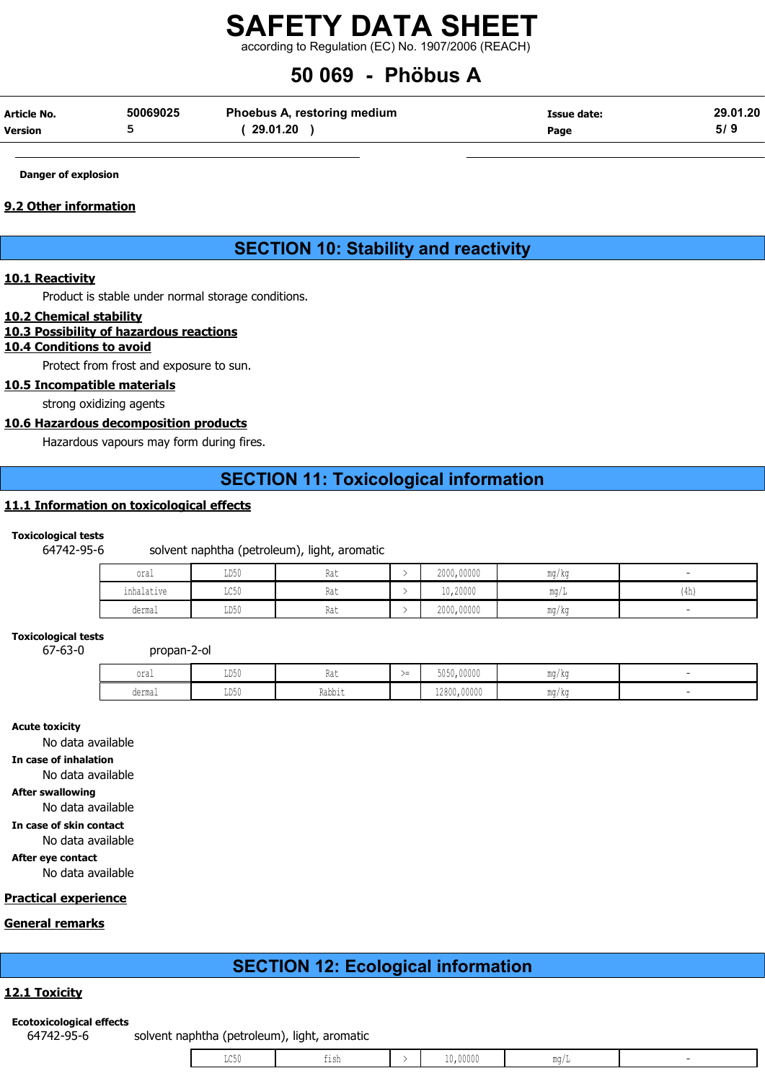according to Regulation (EC) No. 1907/2006 (REACH)

## 50 069 - Phöbus A

| Article No.    | 50069025 | Phoebus A, restoring medium | Issue date: | 29.01.20 |
|----------------|----------|-----------------------------|-------------|----------|
| <b>Version</b> |          | 29.01.20                    | Page        | 5/9      |

#### Danger of explosion

#### 9.2 Other information

#### SECTION 10: Stability and reactivity

#### 10.1 Reactivity

Product is stable under normal storage conditions.

#### 10.2 Chemical stability

#### 10.3 Possibility of hazardous reactions

#### 10.4 Conditions to avoid

Protect from frost and exposure to sun.

#### 10.5 Incompatible materials

strong oxidizing agents

#### 10.6 Hazardous decomposition products

Hazardous vapours may form during fires.

#### SECTION 11: Toxicological information

#### 11.1 Information on toxicological effects

#### Toxicological tests

#### 64742-95-6 solvent naphtha (petroleum), light, aromatic

| oral       | LD50                    | Ra t<br>114 L | 2000,00000 | mg/kg |      |
|------------|-------------------------|---------------|------------|-------|------|
| inhalative | $T \cap E \cap$<br>⊔∪∪⊔ | Rat           | 10,20000   | ma/L  | (4h) |
| dermal     | LD50                    | Rat           | 2000,00000 | mg/kg |      |

#### Toxicological tests

67-63-0 propan-2-ol

| oral   | LD50 | 1 w 6                   | $\sim$<br>$\sqrt{2}$ | 5050,00000  | ma/ka<br>$\frac{1}{2}$      |  |
|--------|------|-------------------------|----------------------|-------------|-----------------------------|--|
| dermal | LD50 | $ -$<br>Dahhi<br>nawult |                      | 12800,00000 | ma/ka<br>w<br>$\frac{1}{2}$ |  |

Acute toxicity

No data available

In case of inhalation

No data available

#### After swallowing

No data available

#### In case of skin contact

No data available

After eye contact

No data available

### Practical experience

#### General remarks

### SECTION 12: Ecological information

#### 12.1 Toxicity

#### Ecotoxicological effects

64742-95-6 solvent naphtha (petroleum), light, aromatic

|  |  | LC50 | ו סו<br>--- |  | 00000 | ma/L |  |
|--|--|------|-------------|--|-------|------|--|
|--|--|------|-------------|--|-------|------|--|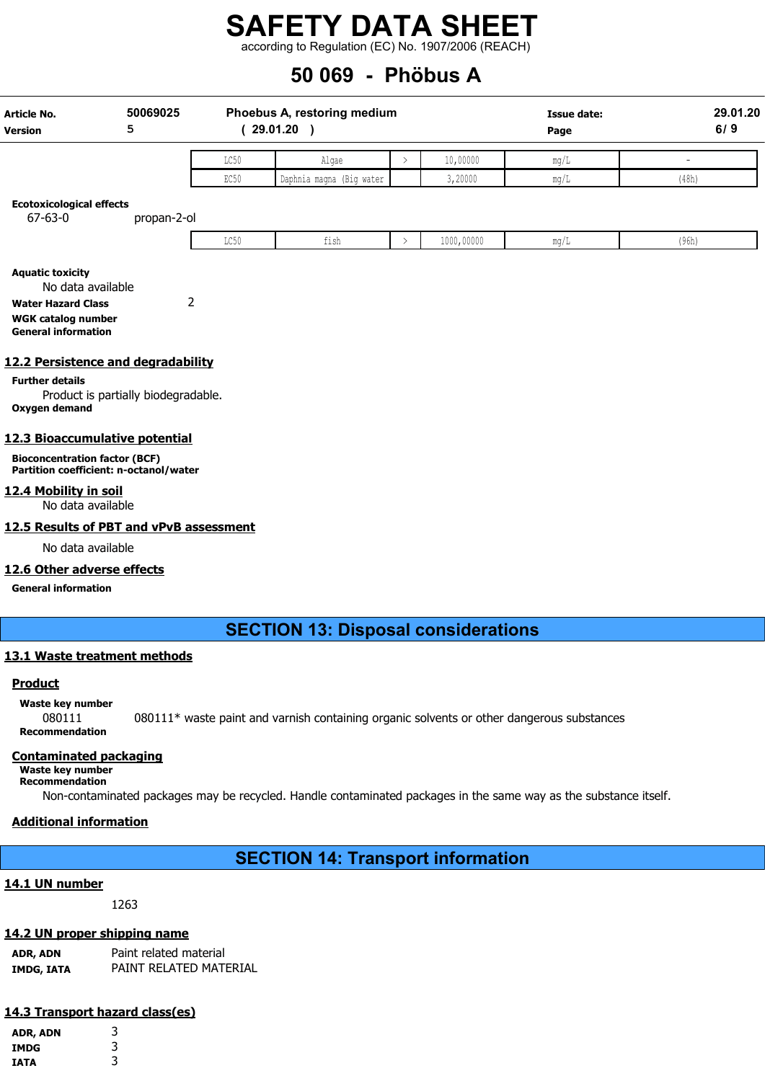according to Regulation (EC) No. 1907/2006 (REACH)

## 50 069 - Phöbus A

| <b>Article No.</b><br><b>Version</b>                                                                                                                                                                                  | 50069025<br>5                                         |                  | Phoebus A, restoring medium<br>(29.01.20) |               |            | <b>Issue date:</b><br>Page |                          | 29.01.20<br>6/9 |
|-----------------------------------------------------------------------------------------------------------------------------------------------------------------------------------------------------------------------|-------------------------------------------------------|------------------|-------------------------------------------|---------------|------------|----------------------------|--------------------------|-----------------|
|                                                                                                                                                                                                                       |                                                       | LC50             | Algae                                     |               | 10,00000   | mg/L                       | $\overline{\phantom{a}}$ |                 |
|                                                                                                                                                                                                                       |                                                       | EC <sub>50</sub> | Daphnia magna (Big water                  |               | 3,20000    | mg/L                       | (48h)                    |                 |
| <b>Ecotoxicological effects</b><br>$67 - 63 - 0$                                                                                                                                                                      | propan-2-ol                                           |                  |                                           |               |            |                            |                          |                 |
|                                                                                                                                                                                                                       |                                                       | LC50             | fish                                      | $\rightarrow$ | 1000,00000 | mg/L                       | (96h)                    |                 |
| <b>Aquatic toxicity</b><br>No data available<br><b>Water Hazard Class</b><br><b>WGK catalog number</b><br><b>General information</b><br>12.2 Persistence and degradability<br><b>Further details</b><br>Oxygen demand | $\overline{2}$<br>Product is partially biodegradable. |                  |                                           |               |            |                            |                          |                 |
| 12.3 Bioaccumulative potential                                                                                                                                                                                        |                                                       |                  |                                           |               |            |                            |                          |                 |
| <b>Bioconcentration factor (BCF)</b><br>Partition coefficient: n-octanol/water                                                                                                                                        |                                                       |                  |                                           |               |            |                            |                          |                 |
| 12.4 Mobility in soil<br>No data available                                                                                                                                                                            |                                                       |                  |                                           |               |            |                            |                          |                 |
| 12.5 Results of PBT and vPvB assessment                                                                                                                                                                               |                                                       |                  |                                           |               |            |                            |                          |                 |

No data available

#### 12.6 Other adverse effects

General information

#### SECTION 13: Disposal considerations

#### 13.1 Waste treatment methods

#### **Product**

Waste key number

080111 080111\* waste paint and varnish containing organic solvents or other dangerous substances Recommendation

#### Contaminated packaging

Waste key number

Recommendation Non-contaminated packages may be recycled. Handle contaminated packages in the same way as the substance itself.

#### Additional information

SECTION 14: Transport information

#### 14.1 UN number

1263

#### 14.2 UN proper shipping name

ADR, ADN Paint related material IMDG, IATA PAINT RELATED MATERIAL

### 14.3 Transport hazard class(es)

| ADR, ADN    | 3 |
|-------------|---|
| IMDG        | 3 |
| <b>IATA</b> | 3 |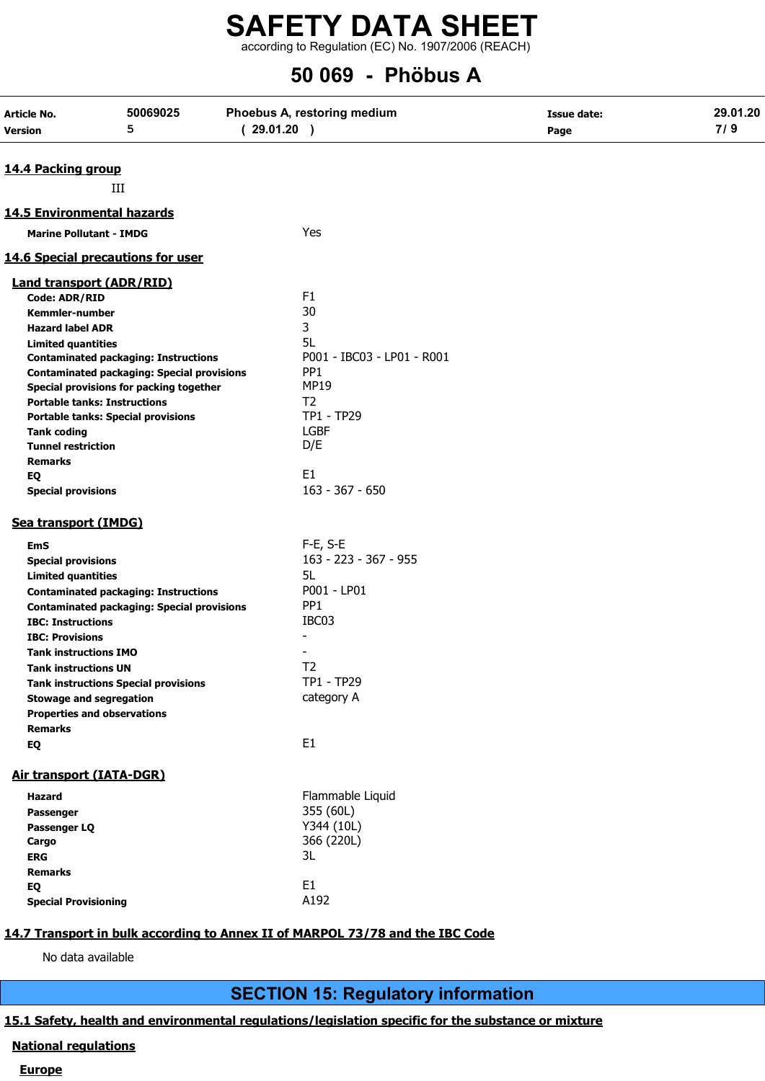according to Regulation (EC) No. 1907/2006 (REACH)

## 50 069 - Phöbus A

| Article No.                     | 50069025                                          | Phoebus A, restoring medium | <b>Issue date:</b> | 29.01.20 |
|---------------------------------|---------------------------------------------------|-----------------------------|--------------------|----------|
| Version                         | 5                                                 | (29.01.20)                  | Page               | 7/9      |
| 14.4 Packing group              |                                                   |                             |                    |          |
|                                 |                                                   |                             |                    |          |
|                                 | Ш                                                 |                             |                    |          |
| 14.5 Environmental hazards      |                                                   |                             |                    |          |
| <b>Marine Pollutant - IMDG</b>  |                                                   | Yes                         |                    |          |
|                                 | <b>14.6 Special precautions for user</b>          |                             |                    |          |
| <b>Land transport (ADR/RID)</b> |                                                   |                             |                    |          |
| <b>Code: ADR/RID</b>            |                                                   | F <sub>1</sub>              |                    |          |
| Kemmler-number                  |                                                   | 30                          |                    |          |
| <b>Hazard label ADR</b>         |                                                   | 3                           |                    |          |
| <b>Limited quantities</b>       |                                                   | 5L                          |                    |          |
|                                 | <b>Contaminated packaging: Instructions</b>       | P001 - IBC03 - LP01 - R001  |                    |          |
|                                 | <b>Contaminated packaging: Special provisions</b> | PP <sub>1</sub>             |                    |          |
|                                 | Special provisions for packing together           | <b>MP19</b>                 |                    |          |
|                                 | <b>Portable tanks: Instructions</b>               | T <sub>2</sub>              |                    |          |
|                                 | <b>Portable tanks: Special provisions</b>         | TP1 - TP29                  |                    |          |
| <b>Tank coding</b>              |                                                   | <b>LGBF</b>                 |                    |          |
| <b>Tunnel restriction</b>       |                                                   | D/E                         |                    |          |
| <b>Remarks</b><br>EQ            |                                                   | E <sub>1</sub>              |                    |          |
| <b>Special provisions</b>       |                                                   | $163 - 367 - 650$           |                    |          |
|                                 |                                                   |                             |                    |          |
| Sea transport (IMDG)            |                                                   |                             |                    |          |
| <b>EmS</b>                      |                                                   | F-E, S-E                    |                    |          |
| <b>Special provisions</b>       |                                                   | 163 - 223 - 367 - 955       |                    |          |
| <b>Limited quantities</b>       |                                                   | 5L                          |                    |          |
|                                 | <b>Contaminated packaging: Instructions</b>       | P001 - LP01                 |                    |          |
|                                 | <b>Contaminated packaging: Special provisions</b> | PP <sub>1</sub>             |                    |          |
| <b>IBC: Instructions</b>        |                                                   | IBC03                       |                    |          |
| <b>IBC: Provisions</b>          |                                                   |                             |                    |          |
| <b>Tank instructions IMO</b>    |                                                   |                             |                    |          |
| <b>Tank instructions UN</b>     |                                                   | T <sub>2</sub>              |                    |          |
|                                 | <b>Tank instructions Special provisions</b>       | TP1 - TP29                  |                    |          |
| <b>Stowage and segregation</b>  |                                                   | category A                  |                    |          |
|                                 | <b>Properties and observations</b>                |                             |                    |          |
| <b>Remarks</b>                  |                                                   |                             |                    |          |
| EQ                              |                                                   | E <sub>1</sub>              |                    |          |
| <b>Air transport (IATA-DGR)</b> |                                                   |                             |                    |          |
| Hazard                          |                                                   | Flammable Liquid            |                    |          |
| Passenger                       |                                                   | 355 (60L)                   |                    |          |
| Passenger LQ                    |                                                   | Y344 (10L)                  |                    |          |
| Cargo                           |                                                   | 366 (220L)                  |                    |          |
| <b>ERG</b>                      |                                                   | 3L                          |                    |          |
| <b>Remarks</b>                  |                                                   |                             |                    |          |
| EQ                              |                                                   | E <sub>1</sub>              |                    |          |
| <b>Special Provisioning</b>     |                                                   | A192                        |                    |          |

No data available

### SECTION 15: Regulatory information

#### 15.1 Safety, health and environmental regulations/legislation specific for the substance or mixture

#### National regulations

#### **Europe**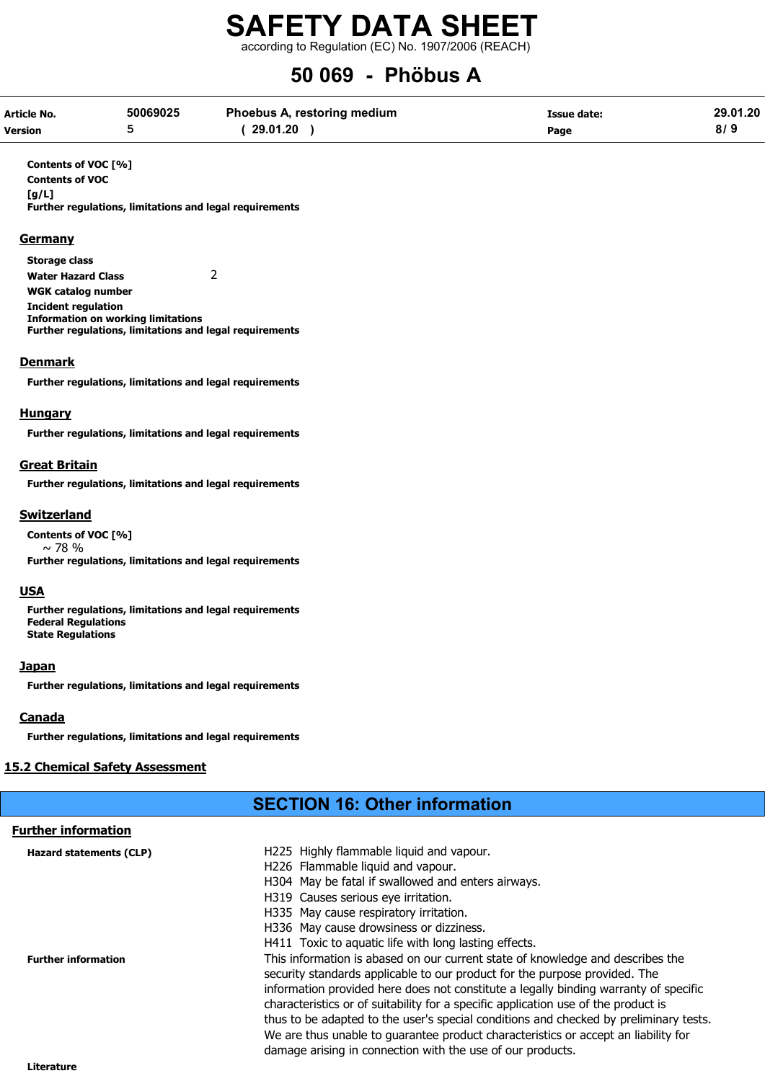according to Regulation (EC) No. 1907/2006 (REACH)

## 50 069 - Phöbus A

| Article No. | 50069025 | <b>Phoebus A, restoring medium</b> | Issue date: | 29.01.20 |
|-------------|----------|------------------------------------|-------------|----------|
| Version     |          | 29.01.20                           | Page        |          |

Contents of VOC [%]

Contents of VOC [g/L]

Further regulations, limitations and legal requirements

#### **Germany**

Storage class Water Hazard Class 2 WGK catalog number Incident regulation Information on working limitations Further regulations, limitations and legal requirements

#### **Denmark**

Further regulations, limitations and legal requirements

#### **Hungary**

Further regulations, limitations and legal requirements

#### Great Britain

Further regulations, limitations and legal requirements

#### Switzerland

Contents of VOC [%]  $\sim$  78 % Further regulations, limitations and legal requirements

#### USA

Further regulations, limitations and legal requirements Federal Regulations State Regulations

#### **Japan**

Further regulations, limitations and legal requirements

#### **Canada**

Further regulations, limitations and legal requirements

#### 15.2 Chemical Safety Assessment

### SECTION 16: Other information

| <b>Further information</b>     |                                                                                       |
|--------------------------------|---------------------------------------------------------------------------------------|
| <b>Hazard statements (CLP)</b> | H225 Highly flammable liquid and vapour.                                              |
|                                | H226 Flammable liquid and vapour.                                                     |
|                                | H304 May be fatal if swallowed and enters airways.                                    |
|                                | H319 Causes serious eye irritation.                                                   |
|                                | H335 May cause respiratory irritation.                                                |
|                                | H336 May cause drowsiness or dizziness.                                               |
|                                | H411 Toxic to aquatic life with long lasting effects.                                 |
| <b>Further information</b>     | This information is abased on our current state of knowledge and describes the        |
|                                | security standards applicable to our product for the purpose provided. The            |
|                                | information provided here does not constitute a legally binding warranty of specific  |
|                                | characteristics or of suitability for a specific application use of the product is    |
|                                | thus to be adapted to the user's special conditions and checked by preliminary tests. |
|                                | We are thus unable to guarantee product characteristics or accept an liability for    |
|                                | damage arising in connection with the use of our products.                            |